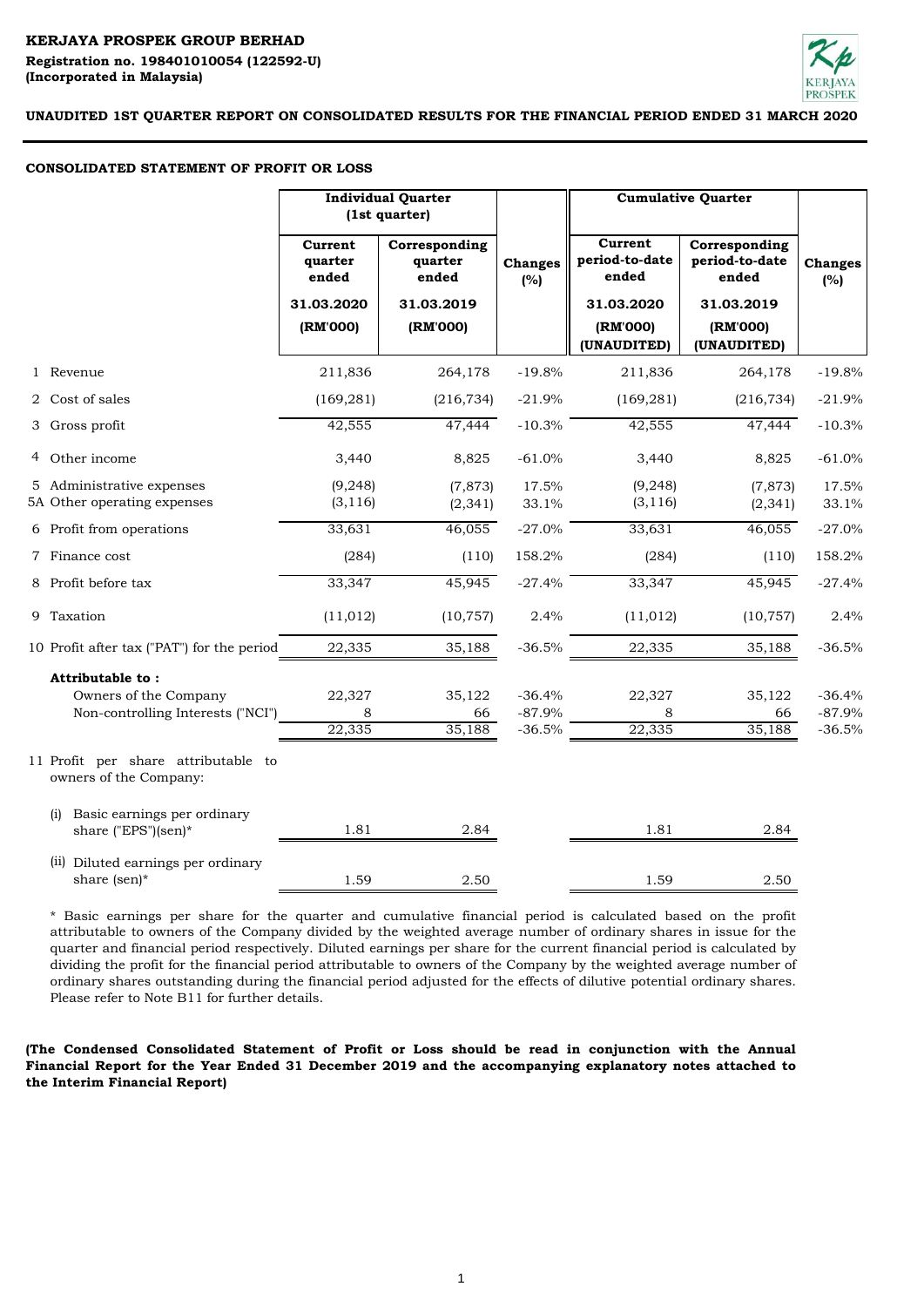# **KERJAYA PROSPEK GROUP BERHAD**

**(Incorporated in Malaysia) Registration no. 198401010054 (122592-U)** 



**UNAUDITED 1ST QUARTER REPORT ON CONSOLIDATED RESULTS FOR THE FINANCIAL PERIOD ENDED 31 MARCH 2020**

### **CONSOLIDATED STATEMENT OF PROFIT OR LOSS**

|                                                                                | <b>Individual Quarter</b><br>(1st quarter) |                                   |                                  |                                    |                                          | <b>Cumulative Quarter</b>        |  |
|--------------------------------------------------------------------------------|--------------------------------------------|-----------------------------------|----------------------------------|------------------------------------|------------------------------------------|----------------------------------|--|
|                                                                                | Current<br>quarter<br>ended                | Corresponding<br>quarter<br>ended | <b>Changes</b><br>(%)            | Current<br>period-to-date<br>ended | Corresponding<br>period-to-date<br>ended | <b>Changes</b><br>(%)            |  |
|                                                                                | 31.03.2020                                 | 31.03.2019                        |                                  | 31.03.2020                         | 31.03.2019                               |                                  |  |
|                                                                                | (RM'000)                                   | (RM'000)                          |                                  | (RM'000)<br>(UNAUDITED)            | (RM'000)<br>(UNAUDITED)                  |                                  |  |
| 1 Revenue                                                                      | 211,836                                    | 264,178                           | $-19.8%$                         | 211,836                            | 264,178                                  | $-19.8%$                         |  |
| 2 Cost of sales                                                                | (169, 281)                                 | (216, 734)                        | $-21.9%$                         | (169, 281)                         | (216, 734)                               | $-21.9%$                         |  |
| 3 Gross profit                                                                 | 42,555                                     | 47,444                            | $-10.3%$                         | 42,555                             | 47,444                                   | $-10.3%$                         |  |
| 4 Other income                                                                 | 3,440                                      | 8,825                             | $-61.0%$                         | 3,440                              | 8,825                                    | $-61.0%$                         |  |
| 5 Administrative expenses<br>5A Other operating expenses                       | (9, 248)<br>(3, 116)                       | (7, 873)<br>(2, 341)              | 17.5%<br>33.1%                   | (9, 248)<br>(3, 116)               | (7, 873)<br>(2, 341)                     | 17.5%<br>33.1%                   |  |
| 6 Profit from operations                                                       | 33,631                                     | 46,055                            | $-27.0%$                         | 33,631                             | 46,055                                   | $-27.0%$                         |  |
| 7 Finance cost                                                                 | (284)                                      | (110)                             | 158.2%                           | (284)                              | (110)                                    | 158.2%                           |  |
| 8 Profit before tax                                                            | 33,347                                     | 45,945                            | $-27.4%$                         | 33,347                             | 45,945                                   | $-27.4%$                         |  |
| 9 Taxation                                                                     | (11, 012)                                  | (10, 757)                         | 2.4%                             | (11, 012)                          | (10, 757)                                | 2.4%                             |  |
| 10 Profit after tax ("PAT") for the period                                     | 22,335                                     | 35,188                            | $-36.5%$                         | 22,335                             | 35,188                                   | $-36.5%$                         |  |
| Attributable to:<br>Owners of the Company<br>Non-controlling Interests ("NCI") | 22,327<br>8<br>22,335                      | 35,122<br>66<br>35,188            | $-36.4%$<br>$-87.9%$<br>$-36.5%$ | 22,327<br>8<br>22,335              | 35,122<br>66<br>35,188                   | $-36.4%$<br>$-87.9%$<br>$-36.5%$ |  |
| 11 Profit per share attributable to<br>owners of the Company:                  |                                            |                                   |                                  |                                    |                                          |                                  |  |
| Basic earnings per ordinary<br>(i)<br>share ("EPS")(sen)*                      | 1.81                                       | 2.84                              |                                  | 1.81                               | 2.84                                     |                                  |  |
| (ii) Diluted earnings per ordinary<br>share (sen)*                             | 1.59                                       | 2.50                              |                                  | 1.59                               | 2.50                                     |                                  |  |

\* Basic earnings per share for the quarter and cumulative financial period is calculated based on the profit attributable to owners of the Company divided by the weighted average number of ordinary shares in issue for the quarter and financial period respectively. Diluted earnings per share for the current financial period is calculated by dividing the profit for the financial period attributable to owners of the Company by the weighted average number of ordinary shares outstanding during the financial period adjusted for the effects of dilutive potential ordinary shares. Please refer to Note B11 for further details.

**(The Condensed Consolidated Statement of Profit or Loss should be read in conjunction with the Annual Financial Report for the Year Ended 31 December 2019 and the accompanying explanatory notes attached to the Interim Financial Report)**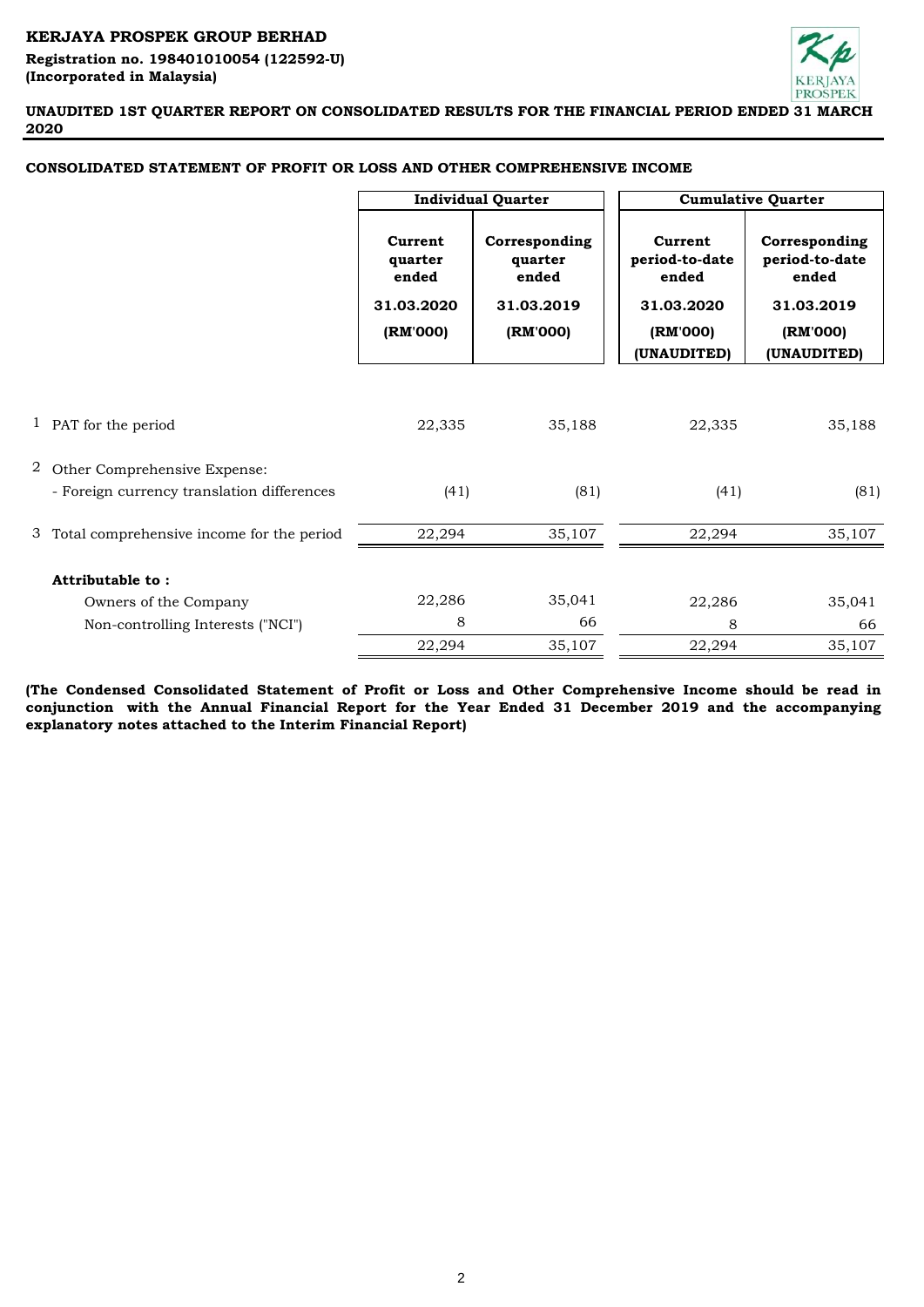# **KERJAYA PROSPEK GROUP BERHAD**

**(Incorporated in Malaysia) Registration no. 198401010054 (122592-U)** 



**UNAUDITED 1ST QUARTER REPORT ON CONSOLIDATED RESULTS FOR THE FINANCIAL PERIOD ENDED 31 MARCH 2020**

|                                             |                             | <b>Individual Quarter</b>         |                                    | <b>Cumulative Quarter</b>                |  |
|---------------------------------------------|-----------------------------|-----------------------------------|------------------------------------|------------------------------------------|--|
|                                             | Current<br>quarter<br>ended | Corresponding<br>quarter<br>ended | Current<br>period-to-date<br>ended | Corresponding<br>period-to-date<br>ended |  |
|                                             | 31.03.2020<br>31.03.2019    |                                   | 31.03.2020                         | 31.03.2019                               |  |
|                                             | (RM'000)                    | (RM'000)                          | (RM'000)<br>(UNAUDITED)            | (RM'000)<br>(UNAUDITED)                  |  |
|                                             |                             |                                   |                                    |                                          |  |
| 1 PAT for the period                        | 22,335                      | 35,188                            | 22,335                             | 35,188                                   |  |
| 2 Other Comprehensive Expense:              |                             |                                   |                                    |                                          |  |
| - Foreign currency translation differences  | (41)                        | (81)                              | (41)                               | (81)                                     |  |
| 3 Total comprehensive income for the period | 22,294                      | 35,107                            | 22,294                             | 35,107                                   |  |
| Attributable to:                            |                             |                                   |                                    |                                          |  |
| Owners of the Company                       | 22,286                      | 35,041                            | 22,286                             | 35,041                                   |  |
| Non-controlling Interests ("NCI")           | 8                           | 66                                | 8                                  | 66                                       |  |
|                                             | 22,294                      | 35,107                            | 22,294                             | 35,107                                   |  |

# **CONSOLIDATED STATEMENT OF PROFIT OR LOSS AND OTHER COMPREHENSIVE INCOME**

**(The Condensed Consolidated Statement of Profit or Loss and Other Comprehensive Income should be read in conjunction with the Annual Financial Report for the Year Ended 31 December 2019 and the accompanying explanatory notes attached to the Interim Financial Report)**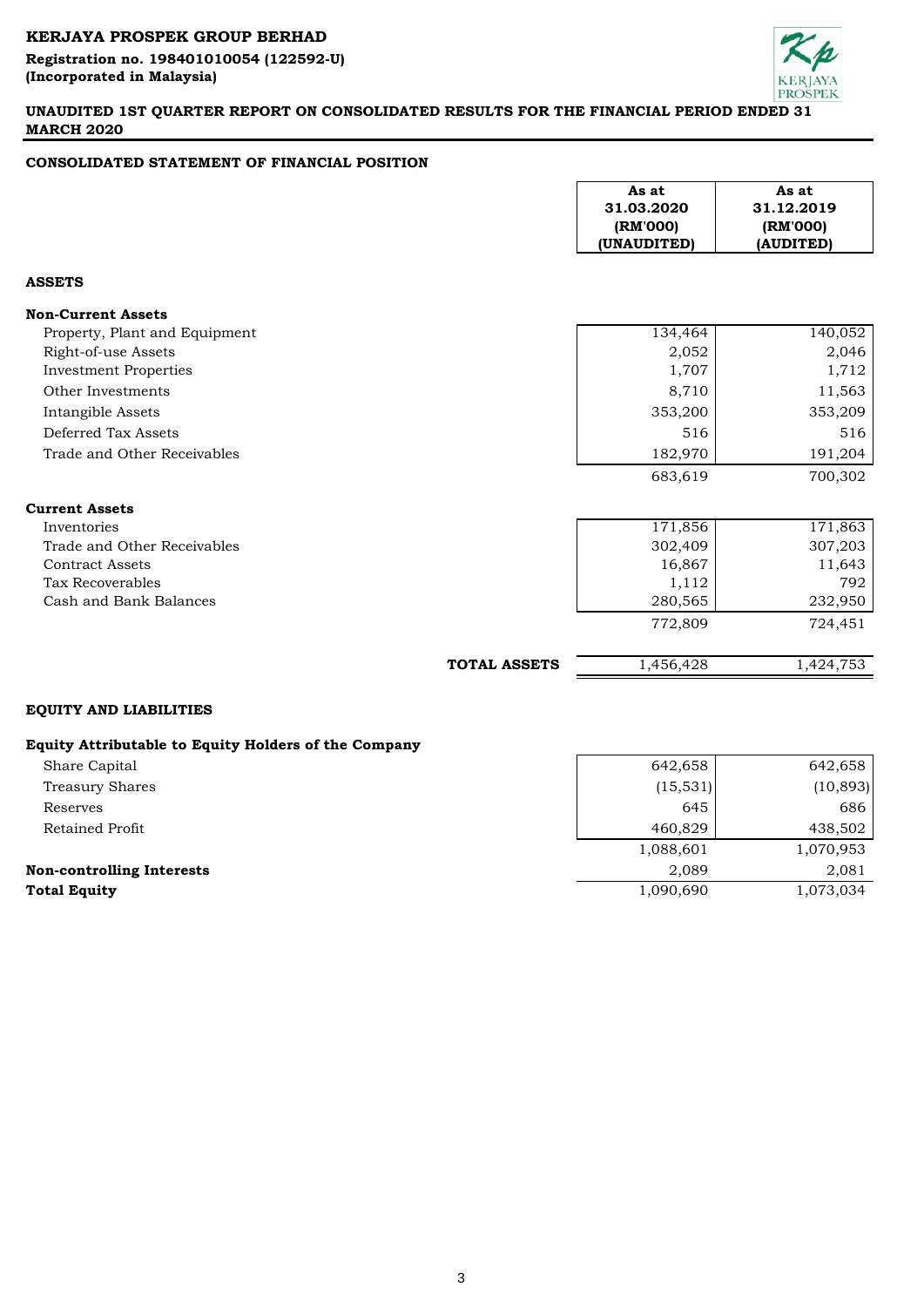# **KERJAYA PROSPEK GROUP BERHAD Registration no. 198401010054 (122592-U) (Incorporated in Malaysia)**



# **UNAUDITED 1ST QUARTER REPORT ON CONSOLIDATED RESULTS FOR THE FINANCIAL PERIOD ENDED 31 MARCH 2020**

# **CONSOLIDATED STATEMENT OF FINANCIAL POSITION**

|                                                      |                     | As at<br>31.03.2020<br>(RM'000)<br>(UNAUDITED) | As at<br>31.12.2019<br>(RM'000)<br>(AUDITED) |
|------------------------------------------------------|---------------------|------------------------------------------------|----------------------------------------------|
| <b>ASSETS</b>                                        |                     |                                                |                                              |
| <b>Non-Current Assets</b>                            |                     |                                                |                                              |
| Property, Plant and Equipment                        |                     | 134,464                                        | $1\overline{40,052}$                         |
| Right-of-use Assets                                  |                     | 2,052                                          | 2,046                                        |
| <b>Investment Properties</b>                         |                     | 1,707                                          | 1,712                                        |
| Other Investments                                    |                     | 8,710                                          | 11,563                                       |
| Intangible Assets                                    |                     | 353,200                                        | 353,209                                      |
| Deferred Tax Assets                                  |                     | 516                                            | 516                                          |
| Trade and Other Receivables                          |                     | 182,970                                        | 191,204                                      |
|                                                      |                     | 683,619                                        | 700,302                                      |
| <b>Current Assets</b>                                |                     |                                                |                                              |
| Inventories                                          |                     | 171,856                                        | 171,863                                      |
| Trade and Other Receivables                          |                     | 302,409                                        | 307,203                                      |
| <b>Contract Assets</b>                               |                     | 16,867                                         | 11,643                                       |
| <b>Tax Recoverables</b>                              |                     | 1,112                                          | 792                                          |
| Cash and Bank Balances                               |                     | 280,565                                        | 232,950                                      |
|                                                      |                     | 772,809                                        | 724,451                                      |
|                                                      | <b>TOTAL ASSETS</b> | 1,456,428                                      | 1,424,753                                    |
| <b>EQUITY AND LIABILITIES</b>                        |                     |                                                |                                              |
| Equity Attributable to Equity Holders of the Company |                     |                                                |                                              |
| Share Capital                                        |                     | 642,658                                        | 642,658                                      |
| <b>Treasury Shares</b>                               |                     | (15, 531)                                      | (10, 893)                                    |
| Reserves                                             |                     | 645                                            | 686                                          |
| Retained Profit                                      |                     | 460,829                                        | 438,502                                      |
|                                                      |                     | 1,088,601                                      | 1,070,953                                    |
| <b>Non-controlling Interests</b>                     |                     | 2,089                                          | 2,081                                        |

**Total Equity** 1,090,690 1,073,034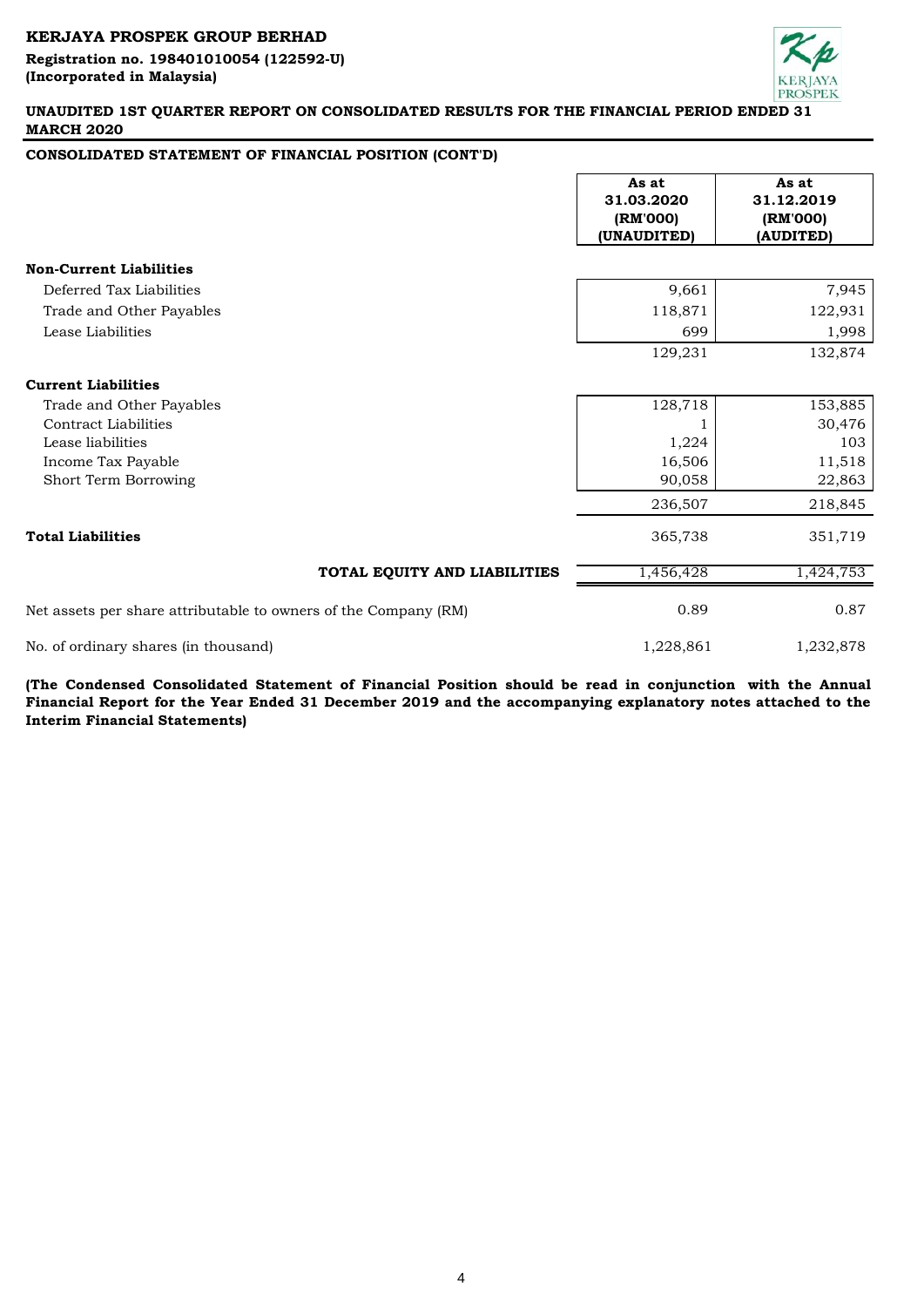**Registration no. 198401010054 (122592-U) (Incorporated in Malaysia)** 



# **UNAUDITED 1ST QUARTER REPORT ON CONSOLIDATED RESULTS FOR THE FINANCIAL PERIOD ENDED 31 MARCH 2020**

# **CONSOLIDATED STATEMENT OF FINANCIAL POSITION (CONT'D)**

|                                                                 | As at<br>31.03.2020<br>(RM'000)<br>(UNAUDITED) | As at<br>31.12.2019<br>(RM'000)<br>(AUDITED) |
|-----------------------------------------------------------------|------------------------------------------------|----------------------------------------------|
| <b>Non-Current Liabilities</b>                                  |                                                |                                              |
| Deferred Tax Liabilities                                        | 9,661                                          | 7,945                                        |
| Trade and Other Payables                                        | 118,871                                        | 122,931                                      |
| Lease Liabilities                                               | 699                                            | 1,998                                        |
|                                                                 | 129,231                                        | 132,874                                      |
| <b>Current Liabilities</b>                                      |                                                |                                              |
| Trade and Other Payables                                        | 128,718                                        | 153,885                                      |
| Contract Liabilities                                            |                                                | 30,476                                       |
| Lease liabilities                                               | 1,224                                          | 103                                          |
| Income Tax Payable                                              | 16,506                                         | 11,518                                       |
| Short Term Borrowing                                            | 90,058                                         | 22,863                                       |
|                                                                 | 236,507                                        | 218,845                                      |
| <b>Total Liabilities</b>                                        | 365,738                                        | 351,719                                      |
| TOTAL EQUITY AND LIABILITIES                                    | 1,456,428                                      | 1,424,753                                    |
| Net assets per share attributable to owners of the Company (RM) | 0.89                                           | 0.87                                         |
| No. of ordinary shares (in thousand)                            | 1,228,861                                      | 1,232,878                                    |

**(The Condensed Consolidated Statement of Financial Position should be read in conjunction with the Annual** Financial Report for the Year Ended 31 December 2019 and the accompanying explanatory notes attached to the **Interim Financial Statements)**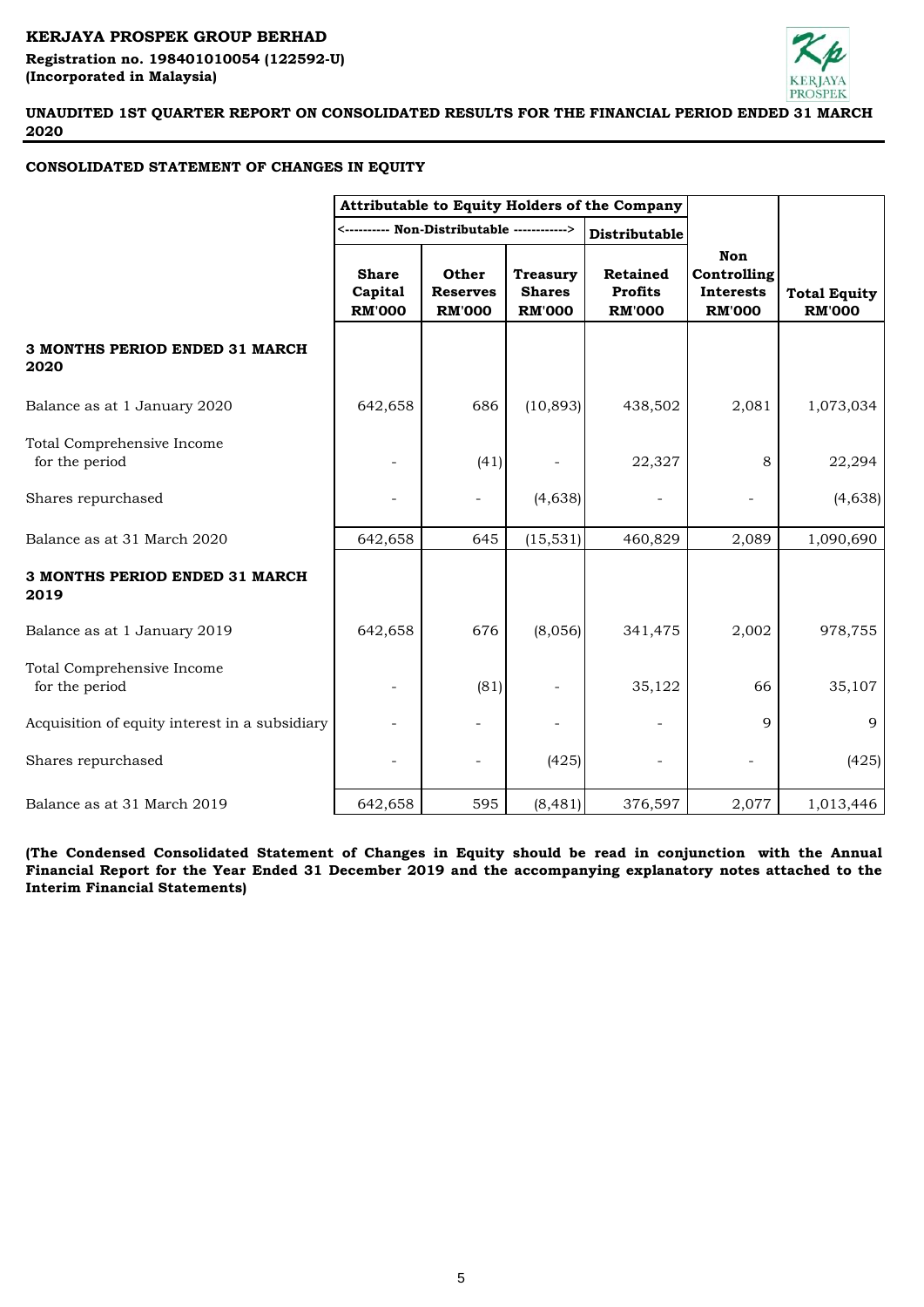# **KERJAYA PROSPEK GROUP BERHAD Registration no. 198401010054 (122592-U) (Incorporated in Malaysia)**



**UNAUDITED 1ST QUARTER REPORT ON CONSOLIDATED RESULTS FOR THE FINANCIAL PERIOD ENDED 31 MARCH 2020**

# **CONSOLIDATED STATEMENT OF CHANGES IN EQUITY**

|                                                | Attributable to Equity Holders of the Company |                                           |                                                   |                                                    |                                                         |                                      |
|------------------------------------------------|-----------------------------------------------|-------------------------------------------|---------------------------------------------------|----------------------------------------------------|---------------------------------------------------------|--------------------------------------|
|                                                |                                               |                                           |                                                   | Distributable                                      |                                                         |                                      |
|                                                | <b>Share</b><br>Capital<br><b>RM'000</b>      | Other<br><b>Reserves</b><br><b>RM'000</b> | <b>Treasury</b><br><b>Shares</b><br><b>RM'000</b> | <b>Retained</b><br><b>Profits</b><br><b>RM'000</b> | Non<br>Controlling<br><b>Interests</b><br><b>RM'000</b> | <b>Total Equity</b><br><b>RM'000</b> |
| 3 MONTHS PERIOD ENDED 31 MARCH<br>2020         |                                               |                                           |                                                   |                                                    |                                                         |                                      |
| Balance as at 1 January 2020                   | 642,658                                       | 686                                       | (10, 893)                                         | 438,502                                            | 2,081                                                   | 1,073,034                            |
| Total Comprehensive Income<br>for the period   |                                               | (41)                                      |                                                   | 22,327                                             | 8                                                       | 22,294                               |
| Shares repurchased                             |                                               |                                           | (4,638)                                           |                                                    |                                                         | (4,638)                              |
| Balance as at 31 March 2020                    | 642,658                                       | 645                                       | (15, 531)                                         | 460,829                                            | 2,089                                                   | 1,090,690                            |
| 3 MONTHS PERIOD ENDED 31 MARCH<br>2019         |                                               |                                           |                                                   |                                                    |                                                         |                                      |
| Balance as at 1 January 2019                   | 642,658                                       | 676                                       | (8,056)                                           | 341,475                                            | 2,002                                                   | 978,755                              |
| Total Comprehensive Income<br>for the period   |                                               | (81)                                      |                                                   | 35,122                                             | 66                                                      | 35,107                               |
| Acquisition of equity interest in a subsidiary |                                               |                                           |                                                   |                                                    | 9                                                       | 9                                    |
| Shares repurchased                             |                                               |                                           | (425)                                             |                                                    |                                                         | (425)                                |
| Balance as at 31 March 2019                    | 642,658                                       | 595                                       | (8, 481)                                          | 376,597                                            | 2,077                                                   | 1,013,446                            |

**(The Condensed Consolidated Statement of Changes in Equity should be read in conjunction with the Annual** Financial Report for the Year Ended 31 December 2019 and the accompanying explanatory notes attached to the **Interim Financial Statements)**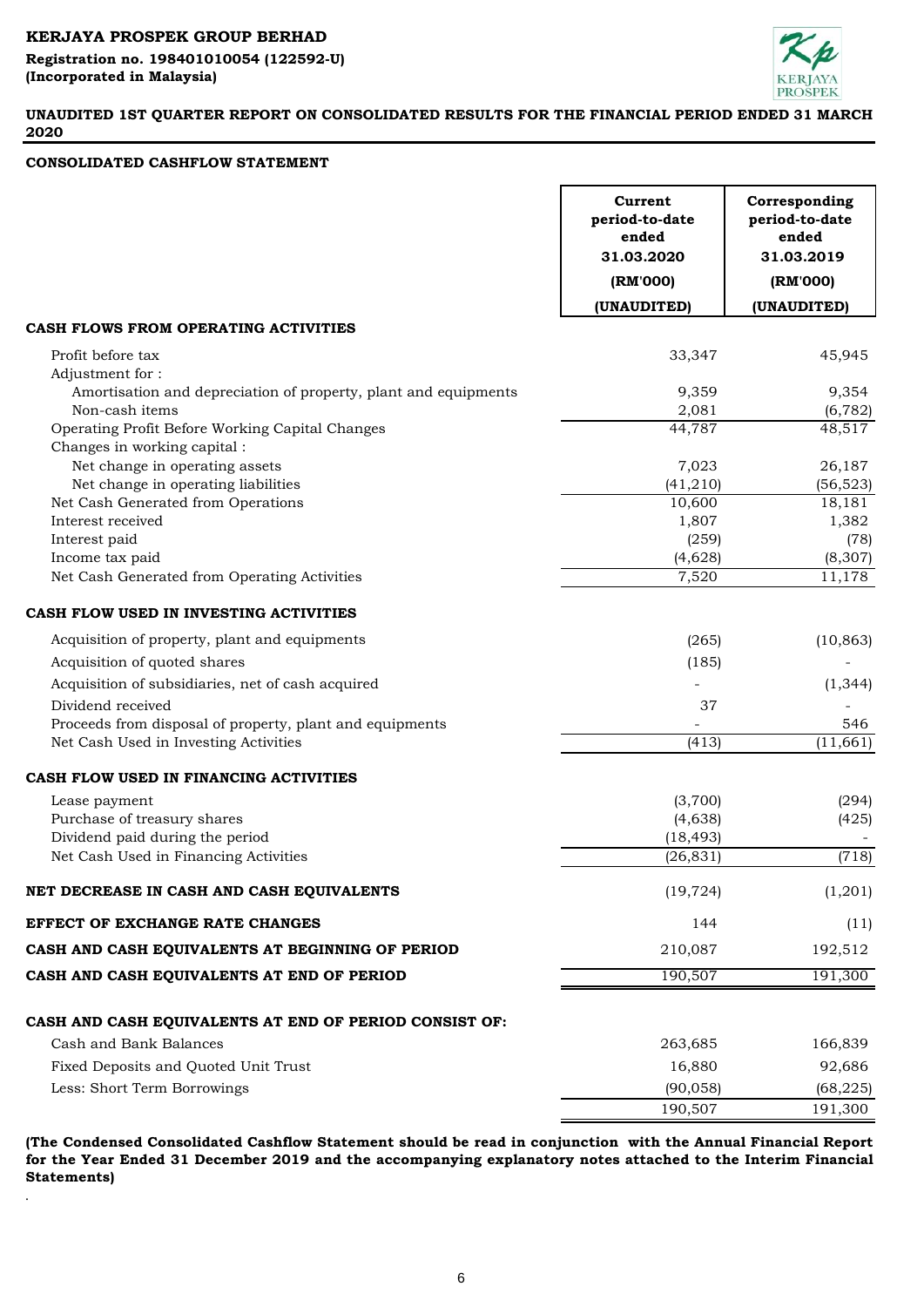**Registration no. 198401010054 (122592-U) (Incorporated in Malaysia)** 



# **UNAUDITED 1ST QUARTER REPORT ON CONSOLIDATED RESULTS FOR THE FINANCIAL PERIOD ENDED 31 MARCH 2020**

# **CONSOLIDATED CASHFLOW STATEMENT**

.

|                                                                 | Current<br>period-to-date<br>ended<br>31.03.2020<br>(RM'000) | Corresponding<br>period-to-date<br>ended<br>31.03.2019<br>(RM'000) |
|-----------------------------------------------------------------|--------------------------------------------------------------|--------------------------------------------------------------------|
|                                                                 | (UNAUDITED)                                                  | (UNAUDITED)                                                        |
| CASH FLOWS FROM OPERATING ACTIVITIES                            |                                                              |                                                                    |
| Profit before tax                                               | 33,347                                                       | 45,945                                                             |
| Adjustment for:                                                 |                                                              |                                                                    |
| Amortisation and depreciation of property, plant and equipments | 9,359                                                        | 9,354                                                              |
| Non-cash items                                                  | 2,081                                                        | (6, 782)                                                           |
| Operating Profit Before Working Capital Changes                 | 44,787                                                       | 48,517                                                             |
| Changes in working capital :                                    |                                                              |                                                                    |
| Net change in operating assets                                  | 7,023                                                        | 26,187                                                             |
| Net change in operating liabilities                             | (41, 210)                                                    | (56, 523)                                                          |
| Net Cash Generated from Operations                              | 10,600                                                       | 18,181                                                             |
| Interest received                                               | 1,807                                                        | 1,382                                                              |
| Interest paid                                                   | (259)<br>(4,628)                                             | (78)<br>(8, 307)                                                   |
| Income tax paid<br>Net Cash Generated from Operating Activities | 7,520                                                        | 11,178                                                             |
|                                                                 |                                                              |                                                                    |
| CASH FLOW USED IN INVESTING ACTIVITIES                          |                                                              |                                                                    |
| Acquisition of property, plant and equipments                   | (265)                                                        | (10, 863)                                                          |
| Acquisition of quoted shares                                    | (185)                                                        |                                                                    |
| Acquisition of subsidiaries, net of cash acquired               |                                                              | (1, 344)                                                           |
| Dividend received                                               | 37                                                           |                                                                    |
| Proceeds from disposal of property, plant and equipments        |                                                              | 546                                                                |
| Net Cash Used in Investing Activities                           | (413)                                                        | (11, 661)                                                          |
|                                                                 |                                                              |                                                                    |
| CASH FLOW USED IN FINANCING ACTIVITIES                          |                                                              |                                                                    |
| Lease payment                                                   | (3,700)                                                      | (294)                                                              |
| Purchase of treasury shares                                     | (4,638)                                                      | (425)                                                              |
| Dividend paid during the period                                 | (18, 493)                                                    |                                                                    |
| Net Cash Used in Financing Activities                           | (26, 831)                                                    | (718)                                                              |
| NET DECREASE IN CASH AND CASH EQUIVALENTS                       | (19, 724)                                                    | (1,201)                                                            |
| EFFECT OF EXCHANGE RATE CHANGES                                 | 144                                                          | (11)                                                               |
| CASH AND CASH EQUIVALENTS AT BEGINNING OF PERIOD                | 210,087                                                      | 192,512                                                            |
| CASH AND CASH EQUIVALENTS AT END OF PERIOD                      | 190,507                                                      | 191,300                                                            |
|                                                                 |                                                              |                                                                    |
| CASH AND CASH EQUIVALENTS AT END OF PERIOD CONSIST OF:          |                                                              |                                                                    |
| Cash and Bank Balances                                          | 263,685                                                      | 166,839                                                            |
| Fixed Deposits and Quoted Unit Trust                            | 16,880                                                       | 92,686                                                             |
| Less: Short Term Borrowings                                     | (90, 058)                                                    | (68, 225)                                                          |
|                                                                 | 190,507                                                      | 191,300                                                            |
|                                                                 |                                                              |                                                                    |

**(The Condensed Consolidated Cashflow Statement should be read in conjunction with the Annual Financial Report** for the Year Ended 31 December 2019 and the accompanying explanatory notes attached to the Interim Financial **Statements)**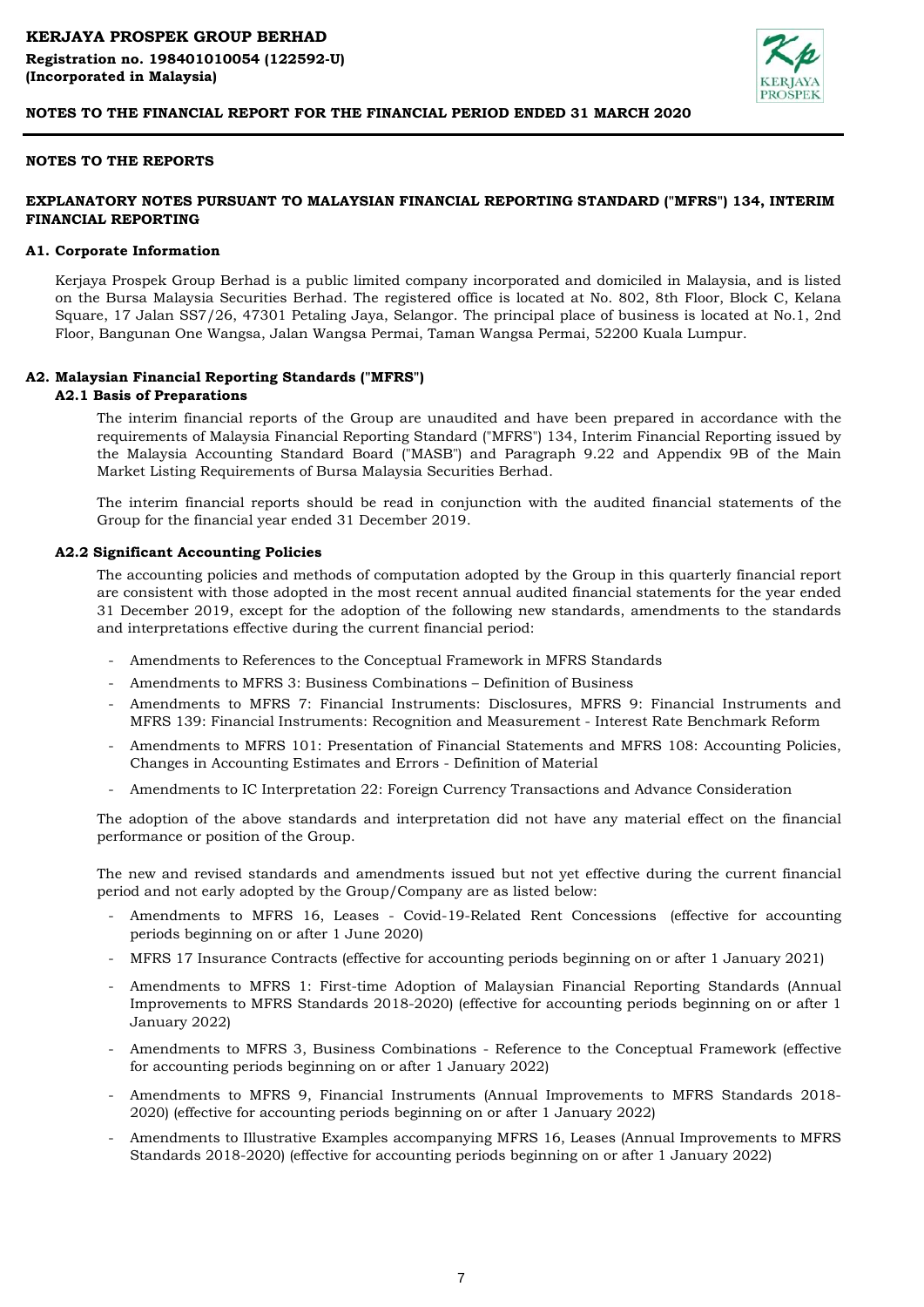

# **NOTES TO THE REPORTS**

# **EXPLANATORY NOTES PURSUANT TO MALAYSIAN FINANCIAL REPORTING STANDARD ("MFRS") 134, INTERIM FINANCIAL REPORTING**

#### **A1. Corporate Information**

Kerjaya Prospek Group Berhad is a public limited company incorporated and domiciled in Malaysia, and is listed on the Bursa Malaysia Securities Berhad. The registered office is located at No. 802, 8th Floor, Block C, Kelana Square, 17 Jalan SS7/26, 47301 Petaling Jaya, Selangor. The principal place of business is located at No.1, 2nd Floor, Bangunan One Wangsa, Jalan Wangsa Permai, Taman Wangsa Permai, 52200 Kuala Lumpur.

#### **A2. Malaysian Financial Reporting Standards ("MFRS")**

#### **A2.1 Basis of Preparations**

The interim financial reports of the Group are unaudited and have been prepared in accordance with the requirements of Malaysia Financial Reporting Standard ("MFRS") 134, Interim Financial Reporting issued by the Malaysia Accounting Standard Board ("MASB") and Paragraph 9.22 and Appendix 9B of the Main Market Listing Requirements of Bursa Malaysia Securities Berhad.

The interim financial reports should be read in conjunction with the audited financial statements of the Group for the financial year ended 31 December 2019.

### **A2.2 Significant Accounting Policies**

The accounting policies and methods of computation adopted by the Group in this quarterly financial report are consistent with those adopted in the most recent annual audited financial statements for the year ended 31 December 2019, except for the adoption of the following new standards, amendments to the standards and interpretations effective during the current financial period:

- Amendments to References to the Conceptual Framework in MFRS Standards
- Amendments to MFRS 3: Business Combinations – Definition of Business
- Amendments to MFRS 7: Financial Instruments: Disclosures, MFRS 9: Financial Instruments and MFRS 139: Financial Instruments: Recognition and Measurement - Interest Rate Benchmark Reform
- Amendments to MFRS 101: Presentation of Financial Statements and MFRS 108: Accounting Policies, Changes in Accounting Estimates and Errors - Definition of Material
- Amendments to IC Interpretation 22: Foreign Currency Transactions and Advance Consideration

The adoption of the above standards and interpretation did not have any material effect on the financial performance or position of the Group.

The new and revised standards and amendments issued but not yet effective during the current financial period and not early adopted by the Group/Company are as listed below:

- Amendments to MFRS 16, Leases - Covid-19-Related Rent Concessions (effective for accounting periods beginning on or after 1 June 2020)
- MFRS 17 Insurance Contracts (effective for accounting periods beginning on or after 1 January 2021)
- Amendments to MFRS 1: First-time Adoption of Malaysian Financial Reporting Standards (Annual Improvements to MFRS Standards 2018-2020) (effective for accounting periods beginning on or after 1 January 2022)
- Amendments to MFRS 3, Business Combinations - Reference to the Conceptual Framework (effective for accounting periods beginning on or after 1 January 2022)
- Amendments to MFRS 9, Financial Instruments (Annual Improvements to MFRS Standards 2018- 2020) (effective for accounting periods beginning on or after 1 January 2022)
- Amendments to Illustrative Examples accompanying MFRS 16, Leases (Annual Improvements to MFRS Standards 2018-2020) (effective for accounting periods beginning on or after 1 January 2022)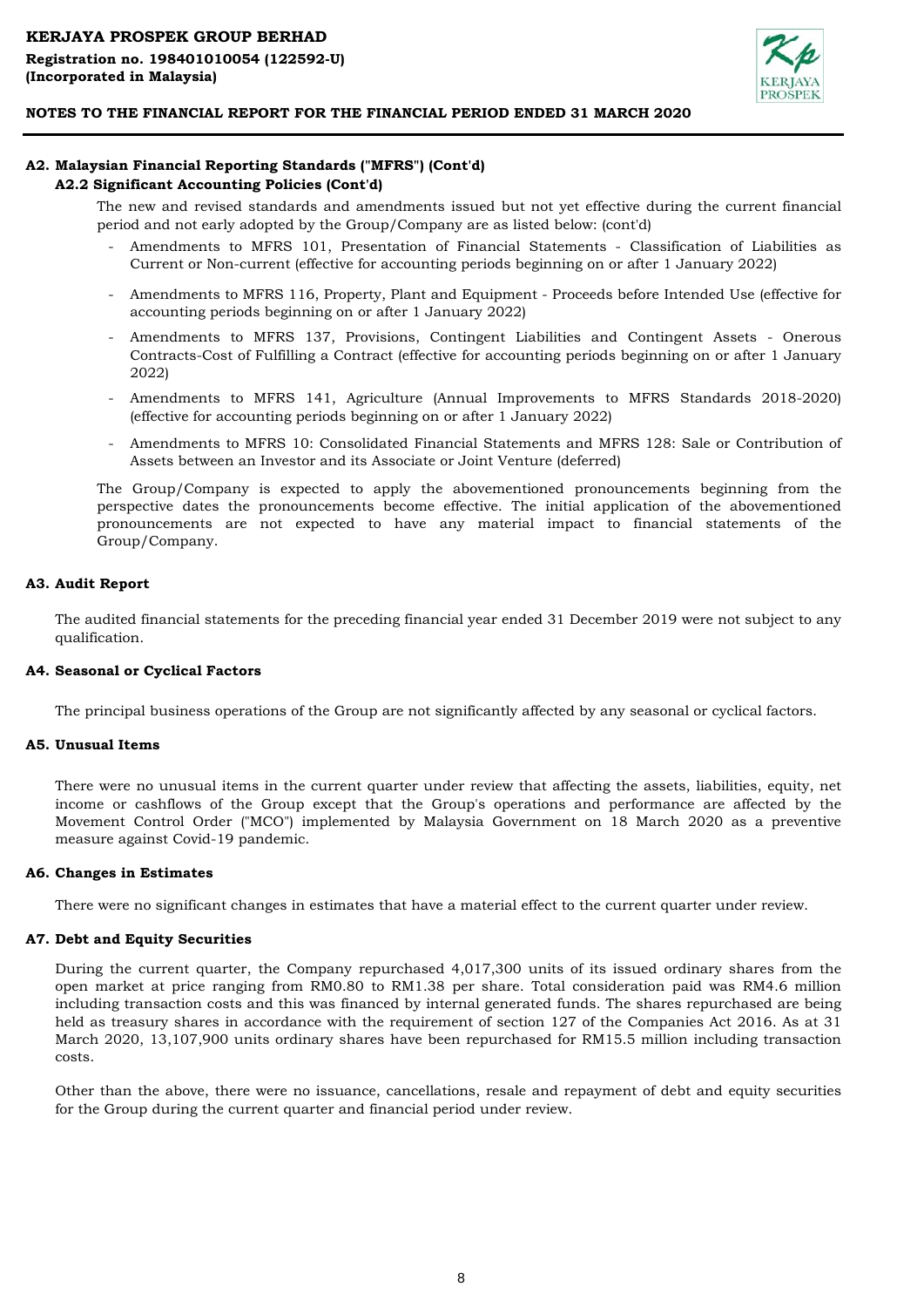

### **A2. Malaysian Financial Reporting Standards ("MFRS") (Cont'd) A2.2 Significant Accounting Policies (Cont'd)**

The new and revised standards and amendments issued but not yet effective during the current financial period and not early adopted by the Group/Company are as listed below: (cont'd)

- Amendments to MFRS 101, Presentation of Financial Statements Classification of Liabilities as Current or Non-current (effective for accounting periods beginning on or after 1 January 2022)
- Amendments to MFRS 116, Property, Plant and Equipment - Proceeds before Intended Use (effective for accounting periods beginning on or after 1 January 2022)
- Amendments to MFRS 137, Provisions, Contingent Liabilities and Contingent Assets - Onerous Contracts-Cost of Fulfilling a Contract (effective for accounting periods beginning on or after 1 January 2022)
- Amendments to MFRS 141, Agriculture (Annual Improvements to MFRS Standards 2018-2020) (effective for accounting periods beginning on or after 1 January 2022)
- Amendments to MFRS 10: Consolidated Financial Statements and MFRS 128: Sale or Contribution of Assets between an Investor and its Associate or Joint Venture (deferred)

The Group/Company is expected to apply the abovementioned pronouncements beginning from the perspective dates the pronouncements become effective. The initial application of the abovementioned pronouncements are not expected to have any material impact to financial statements of the Group/Company.

### **A3. Audit Report**

The audited financial statements for the preceding financial year ended 31 December 2019 were not subject to any qualification.

#### **A4. Seasonal or Cyclical Factors**

The principal business operations of the Group are not significantly affected by any seasonal or cyclical factors.

#### **A5. Unusual Items**

There were no unusual items in the current quarter under review that affecting the assets, liabilities, equity, net income or cashflows of the Group except that the Group's operations and performance are affected by the Movement Control Order ("MCO") implemented by Malaysia Government on 18 March 2020 as a preventive measure against Covid-19 pandemic.

#### **A6. Changes in Estimates**

There were no significant changes in estimates that have a material effect to the current quarter under review.

#### **A7. Debt and Equity Securities**

During the current quarter, the Company repurchased 4,017,300 units of its issued ordinary shares from the open market at price ranging from RM0.80 to RM1.38 per share. Total consideration paid was RM4.6 million including transaction costs and this was financed by internal generated funds. The shares repurchased are being held as treasury shares in accordance with the requirement of section 127 of the Companies Act 2016. As at 31 March 2020, 13,107,900 units ordinary shares have been repurchased for RM15.5 million including transaction costs.

Other than the above, there were no issuance, cancellations, resale and repayment of debt and equity securities for the Group during the current quarter and financial period under review.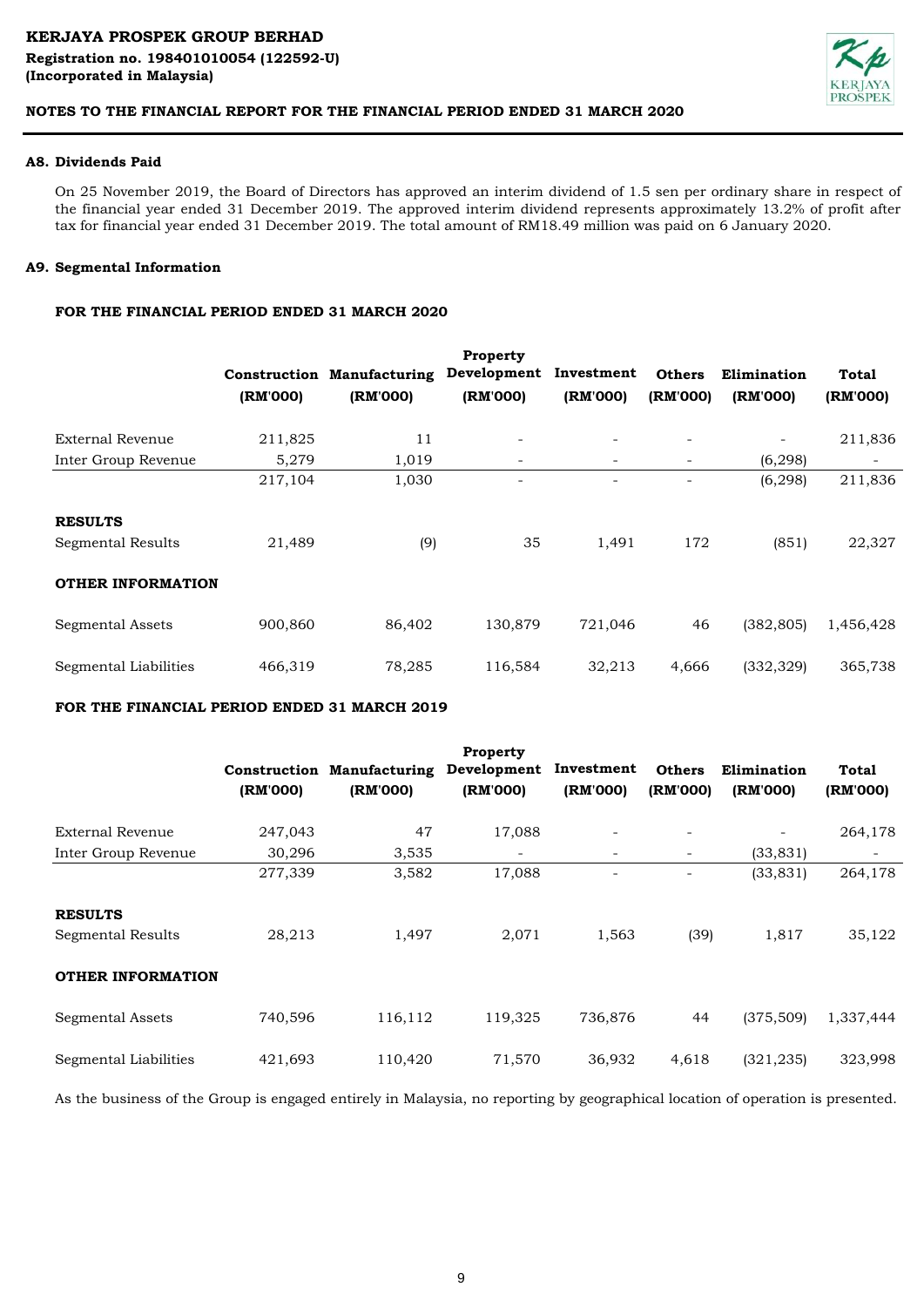

### **A8. Dividends Paid**

On 25 November 2019, the Board of Directors has approved an interim dividend of 1.5 sen per ordinary share in respect of the financial year ended 31 December 2019. The approved interim dividend represents approximately 13.2% of profit after tax for financial year ended 31 December 2019. The total amount of RM18.49 million was paid on 6 January 2020.

# **A9. Segmental Information**

# **FOR THE FINANCIAL PERIOD ENDED 31 MARCH 2020**

|                                            | (RM'000) | <b>Construction Manufacturing</b><br>(RM'000) | <b>Property</b><br>Development<br>(RM'000) | Investment<br>(RM'000) | <b>Others</b><br>(RM'000) | Elimination<br>(RM'000) | <b>Total</b><br>(RM'000) |
|--------------------------------------------|----------|-----------------------------------------------|--------------------------------------------|------------------------|---------------------------|-------------------------|--------------------------|
| External Revenue                           | 211,825  | 11                                            |                                            |                        |                           |                         | 211,836                  |
| Inter Group Revenue                        | 5,279    | 1,019                                         | $\sim$                                     | Ξ.                     | $\overline{\phantom{a}}$  | (6,298)                 | $\overline{\phantom{a}}$ |
|                                            | 217,104  | 1,030                                         |                                            |                        | $\qquad \qquad$           | (6, 298)                | 211,836                  |
| <b>RESULTS</b><br><b>Segmental Results</b> | 21,489   | (9)                                           | 35                                         | 1,491                  | 172                       | (851)                   | 22,327                   |
| <b>OTHER INFORMATION</b>                   |          |                                               |                                            |                        |                           |                         |                          |
| Segmental Assets                           | 900,860  | 86,402                                        | 130,879                                    | 721,046                | 46                        | (382, 805)              | 1,456,428                |
| Segmental Liabilities                      | 466,319  | 78,285                                        | 116,584                                    | 32,213                 | 4,666                     | (332, 329)              | 365,738                  |

# **FOR THE FINANCIAL PERIOD ENDED 31 MARCH 2019**

|                          | (RM'000) | <b>Construction Manufacturing</b><br>(RM'000) | <b>Property</b><br>Development<br>(RM'000) | Investment<br>(RM'000) | <b>Others</b><br>(RM'000) | Elimination<br>(RM'000) | <b>Total</b><br>(RM'000) |
|--------------------------|----------|-----------------------------------------------|--------------------------------------------|------------------------|---------------------------|-------------------------|--------------------------|
| External Revenue         | 247,043  | 47                                            | 17,088                                     |                        |                           |                         | 264,178                  |
| Inter Group Revenue      | 30,296   | 3,535                                         |                                            |                        | $\overline{\phantom{a}}$  | (33, 831)               |                          |
|                          | 277,339  | 3,582                                         | 17,088                                     |                        |                           | (33, 831)               | 264,178                  |
| <b>RESULTS</b>           |          |                                               |                                            |                        |                           |                         |                          |
| Segmental Results        | 28,213   | 1,497                                         | 2,071                                      | 1,563                  | (39)                      | 1,817                   | 35,122                   |
| <b>OTHER INFORMATION</b> |          |                                               |                                            |                        |                           |                         |                          |
| <b>Segmental Assets</b>  | 740,596  | 116,112                                       | 119,325                                    | 736,876                | 44                        | (375, 509)              | 1,337,444                |
| Segmental Liabilities    | 421,693  | 110,420                                       | 71,570                                     | 36,932                 | 4,618                     | (321, 235)              | 323,998                  |

As the business of the Group is engaged entirely in Malaysia, no reporting by geographical location of operation is presented.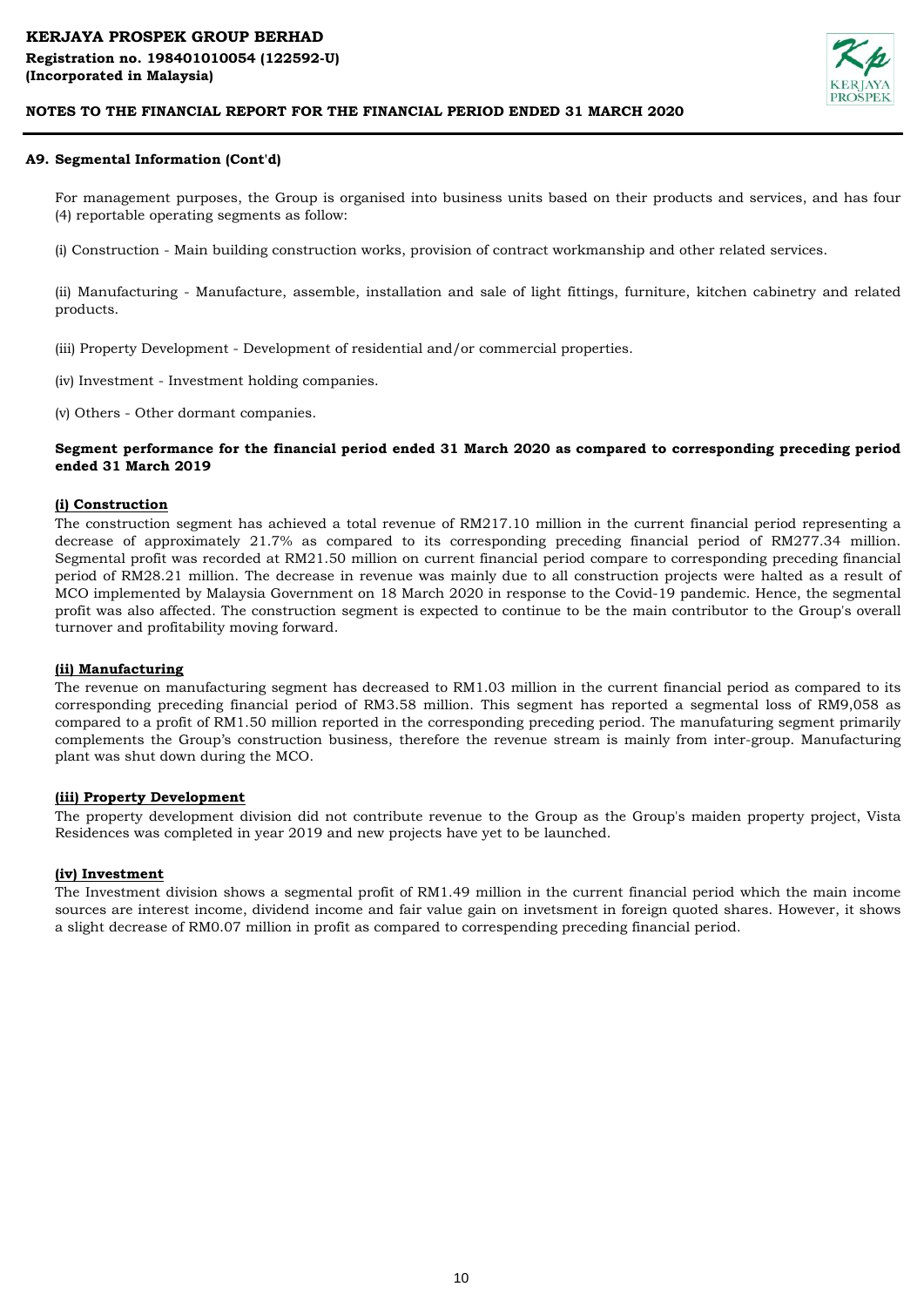

### **A9. Segmental Information (Cont'd)**

For management purposes, the Group is organised into business units based on their products and services, and has four (4) reportable operating segments as follow:

(i) Construction - Main building construction works, provision of contract workmanship and other related services.

(ii) Manufacturing - Manufacture, assemble, installation and sale of light fittings, furniture, kitchen cabinetry and related products.

(iii) Property Development - Development of residential and/or commercial properties.

(iv) Investment - Investment holding companies.

(v) Others - Other dormant companies.

### **Segment performance for the financial period ended 31 March 2020 as compared to corresponding preceding period ended 31 March 2019**

#### **(i) Construction**

The construction segment has achieved a total revenue of RM217.10 million in the current financial period representing a decrease of approximately 21.7% as compared to its corresponding preceding financial period of RM277.34 million. Segmental profit was recorded at RM21.50 million on current financial period compare to corresponding preceding financial period of RM28.21 million. The decrease in revenue was mainly due to all construction projects were halted as a result of MCO implemented by Malaysia Government on 18 March 2020 in response to the Covid-19 pandemic. Hence, the segmental profit was also affected. The construction segment is expected to continue to be the main contributor to the Group's overall turnover and profitability moving forward.

#### **(ii) Manufacturing**

The revenue on manufacturing segment has decreased to RM1.03 million in the current financial period as compared to its corresponding preceding financial period of RM3.58 million. This segment has reported a segmental loss of RM9,058 as compared to a profit of RM1.50 million reported in the corresponding preceding period. The manufaturing segment primarily complements the Group's construction business, therefore the revenue stream is mainly from inter-group. Manufacturing plant was shut down during the MCO.

#### **(iii) Property Development**

The property development division did not contribute revenue to the Group as the Group's maiden property project, Vista Residences was completed in year 2019 and new projects have yet to be launched.

#### **(iv) Investment**

The Investment division shows a segmental profit of RM1.49 million in the current financial period which the main income sources are interest income, dividend income and fair value gain on invetsment in foreign quoted shares. However, it shows a slight decrease of RM0.07 million in profit as compared to correspending preceding financial period.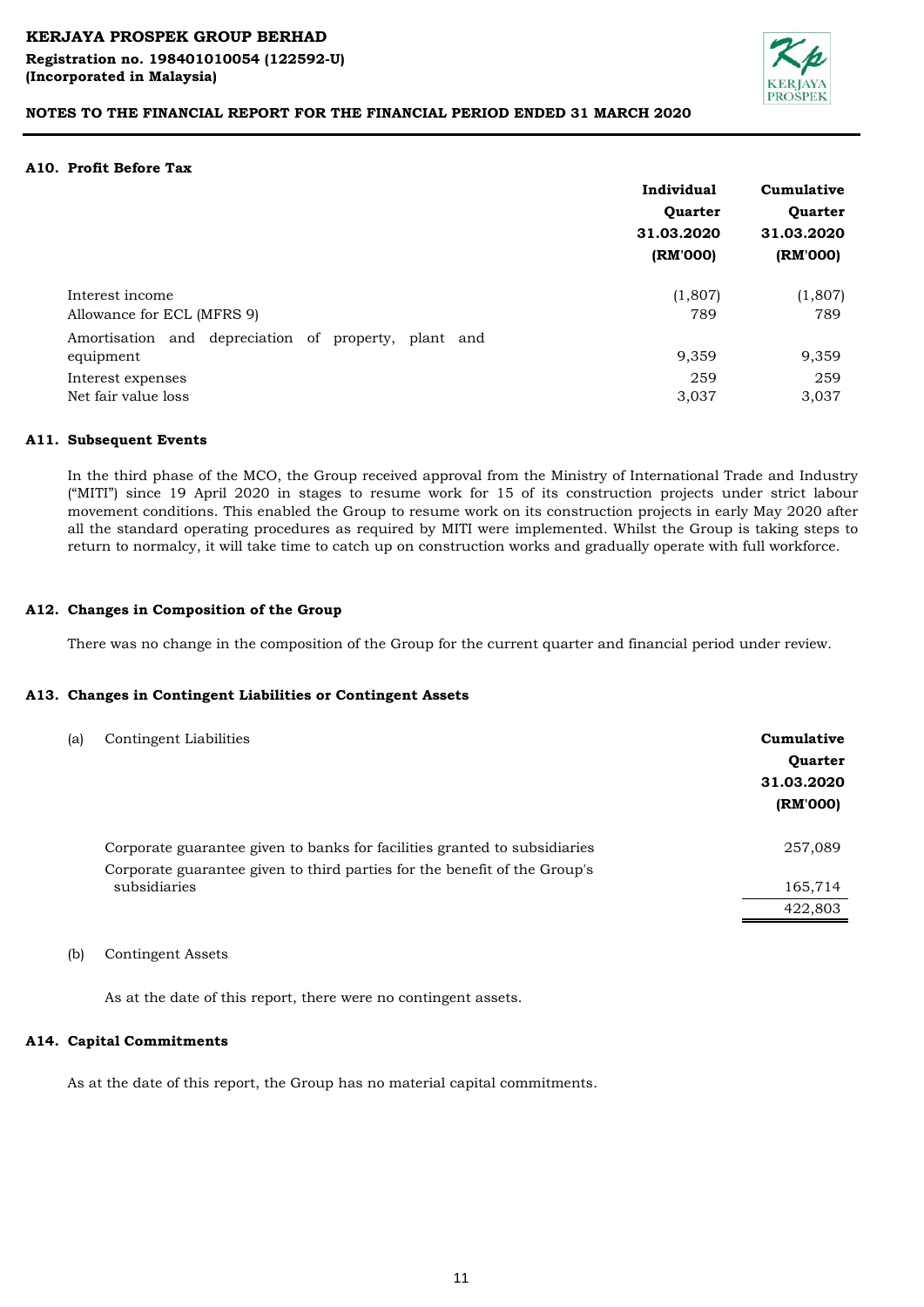

### **A10. Profit Before Tax**

|                                                      | Individual | Cumulative |  |
|------------------------------------------------------|------------|------------|--|
|                                                      | Quarter    | Quarter    |  |
|                                                      | 31.03.2020 | 31.03.2020 |  |
|                                                      | (RM'000)   | (RM'000)   |  |
| Interest income                                      | (1,807)    | (1,807)    |  |
| Allowance for ECL (MFRS 9)                           | 789        | 789        |  |
| Amortisation and depreciation of property, plant and |            |            |  |
| equipment                                            | 9,359      | 9,359      |  |
| Interest expenses                                    | 259        | 259        |  |
| Net fair value loss                                  | 3,037      | 3,037      |  |

#### **A11. Subsequent Events**

In the third phase of the MCO, the Group received approval from the Ministry of International Trade and Industry ("MITI") since 19 April 2020 in stages to resume work for 15 of its construction projects under strict labour movement conditions. This enabled the Group to resume work on its construction projects in early May 2020 after all the standard operating procedures as required by MITI were implemented. Whilst the Group is taking steps to return to normalcy, it will take time to catch up on construction works and gradually operate with full workforce.

#### **A12. Changes in Composition of the Group**

There was no change in the composition of the Group for the current quarter and financial period under review.

#### **A13. Changes in Contingent Liabilities or Contingent Assets**

| (a) | Contingent Liabilities                                                    | Cumulative<br>Quarter<br>31.03.2020<br>(RM'000) |
|-----|---------------------------------------------------------------------------|-------------------------------------------------|
|     | Corporate guarantee given to banks for facilities granted to subsidiaries | 257,089                                         |
|     | Corporate guarantee given to third parties for the benefit of the Group's |                                                 |
|     | subsidiaries                                                              | 165,714                                         |
|     |                                                                           | 422,803                                         |
|     |                                                                           |                                                 |

(b) Contingent Assets

As at the date of this report, there were no contingent assets.

#### **A14. Capital Commitments**

As at the date of this report, the Group has no material capital commitments.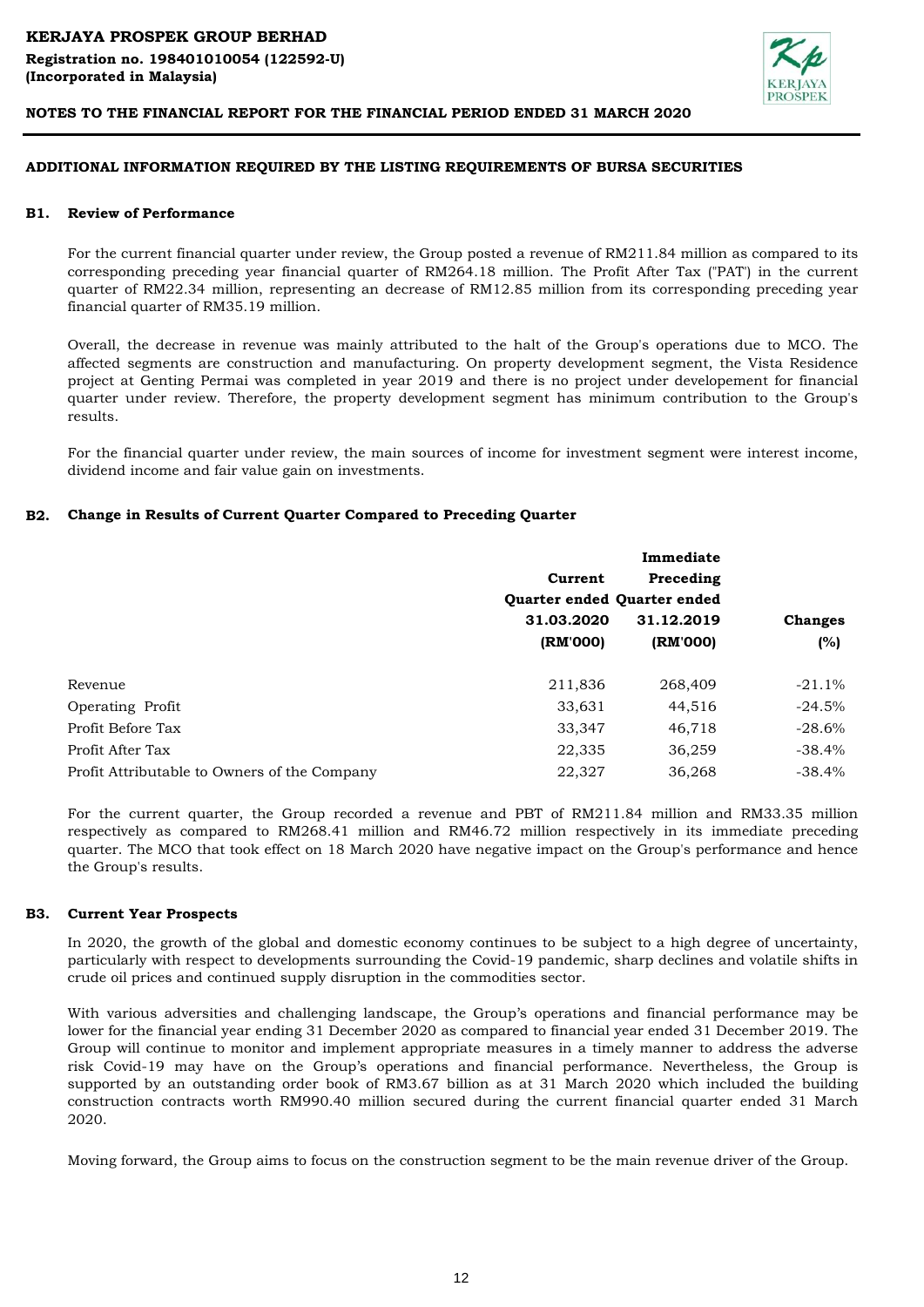

#### **ADDITIONAL INFORMATION REQUIRED BY THE LISTING REQUIREMENTS OF BURSA SECURITIES**

#### **B1. Review of Performance**

For the current financial quarter under review, the Group posted a revenue of RM211.84 million as compared to its corresponding preceding year financial quarter of RM264.18 million. The Profit After Tax ("PAT') in the current quarter of RM22.34 million, representing an decrease of RM12.85 million from its corresponding preceding year financial quarter of RM35.19 million.

Overall, the decrease in revenue was mainly attributed to the halt of the Group's operations due to MCO. The affected segments are construction and manufacturing. On property development segment, the Vista Residence project at Genting Permai was completed in year 2019 and there is no project under developement for financial quarter under review. Therefore, the property development segment has minimum contribution to the Group's results.

For the financial quarter under review, the main sources of income for investment segment were interest income, dividend income and fair value gain on investments.

### **B2. Change in Results of Current Quarter Compared to Preceding Quarter**

|                                              | Immediate                   |            |                |
|----------------------------------------------|-----------------------------|------------|----------------|
|                                              | Current                     | Preceding  |                |
|                                              | Quarter ended Quarter ended |            |                |
|                                              | 31.03.2020                  | 31.12.2019 | <b>Changes</b> |
|                                              | (RM'000)                    | (RM'000)   | (%)            |
| Revenue                                      | 211,836                     | 268,409    | $-21.1\%$      |
| <b>Operating Profit</b>                      | 33,631                      | 44,516     | $-24.5\%$      |
| Profit Before Tax                            | 33,347                      | 46,718     | $-28.6\%$      |
| Profit After Tax                             | 22,335                      | 36,259     | $-38.4\%$      |
| Profit Attributable to Owners of the Company | 22,327                      | 36,268     | $-38.4\%$      |

For the current quarter, the Group recorded a revenue and PBT of RM211.84 million and RM33.35 million respectively as compared to RM268.41 million and RM46.72 million respectively in its immediate preceding quarter. The MCO that took effect on 18 March 2020 have negative impact on the Group's performance and hence the Group's results.

#### **B3. Current Year Prospects**

In 2020, the growth of the global and domestic economy continues to be subject to a high degree of uncertainty, particularly with respect to developments surrounding the Covid-19 pandemic, sharp declines and volatile shifts in crude oil prices and continued supply disruption in the commodities sector.

With various adversities and challenging landscape, the Group's operations and financial performance may be lower for the financial year ending 31 December 2020 as compared to financial year ended 31 December 2019. The Group will continue to monitor and implement appropriate measures in a timely manner to address the adverse risk Covid-19 may have on the Group's operations and financial performance. Nevertheless, the Group is supported by an outstanding order book of RM3.67 billion as at 31 March 2020 which included the building construction contracts worth RM990.40 million secured during the current financial quarter ended 31 March 2020.

Moving forward, the Group aims to focus on the construction segment to be the main revenue driver of the Group.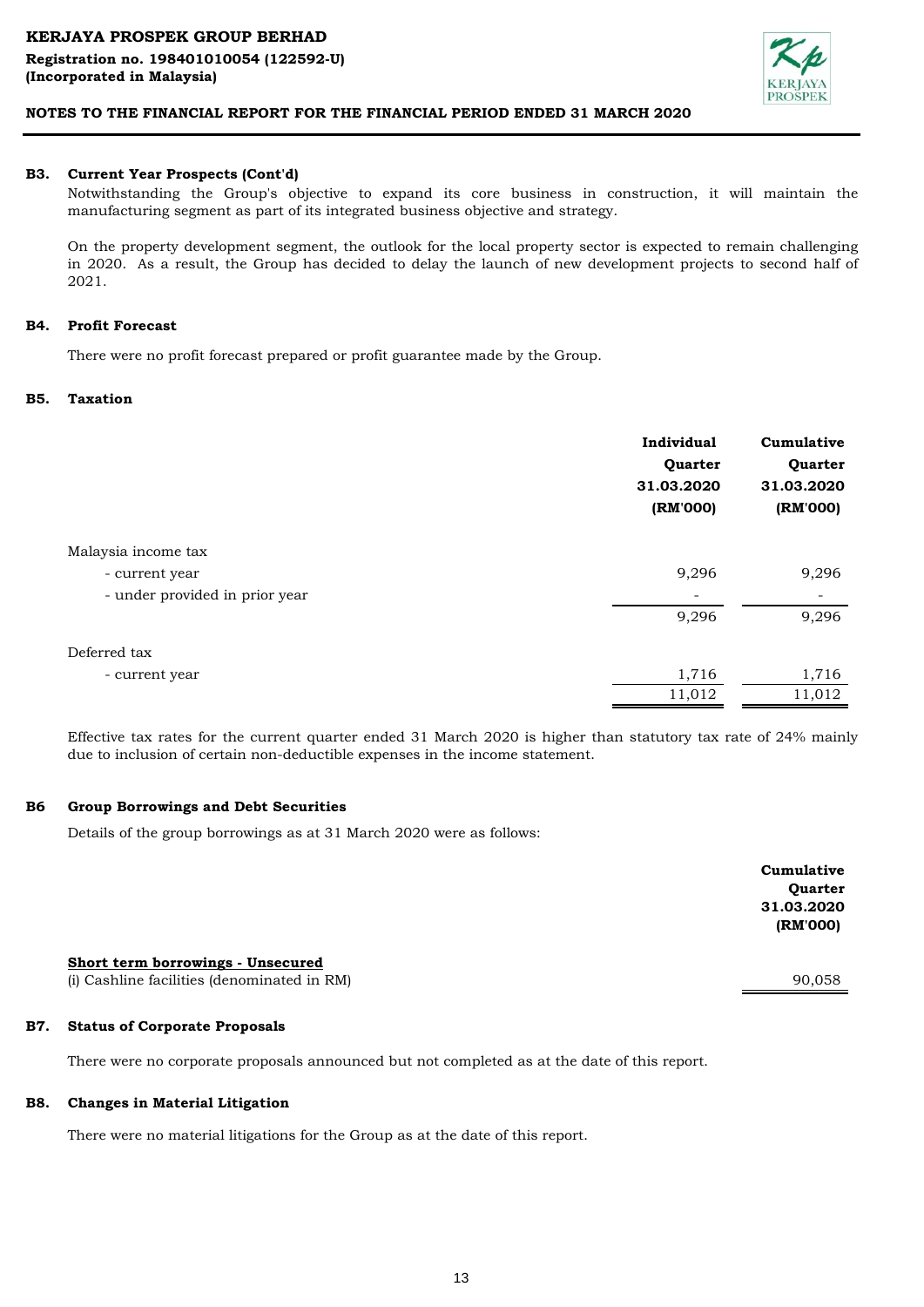

#### **B3. Current Year Prospects (Cont'd)**

Notwithstanding the Group's objective to expand its core business in construction, it will maintain the manufacturing segment as part of its integrated business objective and strategy.

On the property development segment, the outlook for the local property sector is expected to remain challenging in 2020. As a result, the Group has decided to delay the launch of new development projects to second half of 2021.

#### **B4. Profit Forecast**

There were no profit forecast prepared or profit guarantee made by the Group.

#### **B5. Taxation**

|                                | Individual<br>Quarter<br>31.03.2020<br>(RM'000) | Cumulative<br>Quarter<br>31.03.2020<br>(RM'000) |
|--------------------------------|-------------------------------------------------|-------------------------------------------------|
| Malaysia income tax            |                                                 |                                                 |
| - current year                 | 9,296                                           | 9,296                                           |
| - under provided in prior year | -                                               | -                                               |
|                                | 9,296                                           | 9,296                                           |
| Deferred tax                   |                                                 |                                                 |
| - current year                 | 1,716                                           | 1,716                                           |
|                                | 11,012                                          | 11,012                                          |

Effective tax rates for the current quarter ended 31 March 2020 is higher than statutory tax rate of 24% mainly due to inclusion of certain non-deductible expenses in the income statement.

#### **B6 Group Borrowings and Debt Securities**

Details of the group borrowings as at 31 March 2020 were as follows:

|                                                                                  | Cumulative<br>Quarter<br>31.03.2020<br>(RM'000) |
|----------------------------------------------------------------------------------|-------------------------------------------------|
| Short term borrowings - Unsecured<br>(i) Cashline facilities (denominated in RM) | 90,058                                          |
|                                                                                  |                                                 |

#### **B7. Status of Corporate Proposals**

There were no corporate proposals announced but not completed as at the date of this report.

#### **B8. Changes in Material Litigation**

There were no material litigations for the Group as at the date of this report.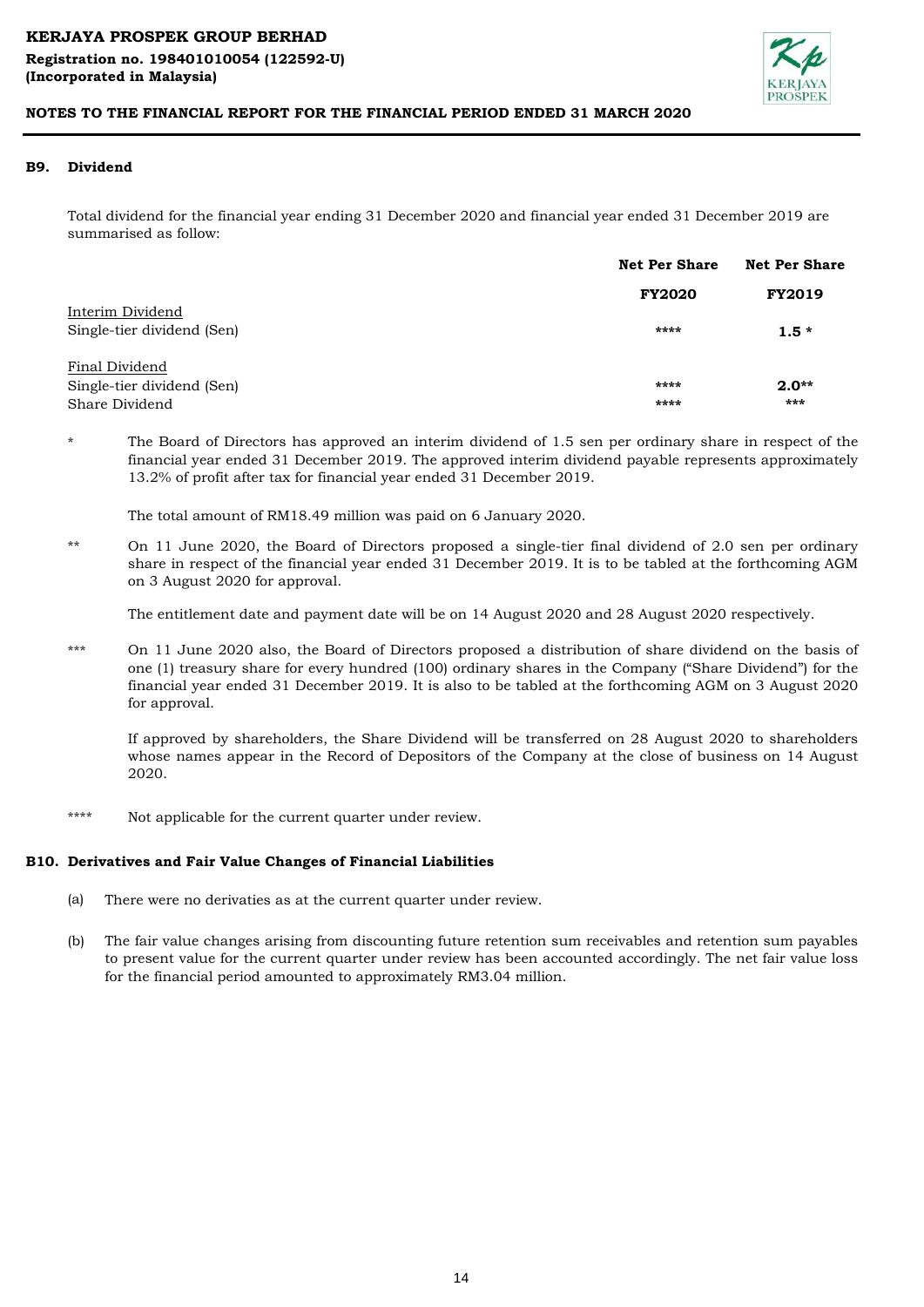

#### **B9. Dividend**

Total dividend for the financial year ending 31 December 2020 and financial year ended 31 December 2019 are summarised as follow:

|                            | <b>Net Per Share</b> | <b>Net Per Share</b> |  |
|----------------------------|----------------------|----------------------|--|
|                            | <b>FY2020</b>        | <b>FY2019</b>        |  |
| Interim Dividend           |                      |                      |  |
| Single-tier dividend (Sen) | ****                 | $1.5*$               |  |
| Final Dividend             |                      |                      |  |
| Single-tier dividend (Sen) | ****                 | $2.0**$              |  |
| Share Dividend             | ****                 | ***                  |  |

\* The Board of Directors has approved an interim dividend of 1.5 sen per ordinary share in respect of the financial year ended 31 December 2019. The approved interim dividend payable represents approximately 13.2% of profit after tax for financial year ended 31 December 2019.

The total amount of RM18.49 million was paid on 6 January 2020.

\*\* On 11 June 2020, the Board of Directors proposed a single-tier final dividend of 2.0 sen per ordinary share in respect of the financial year ended 31 December 2019. It is to be tabled at the forthcoming AGM on 3 August 2020 for approval.

The entitlement date and payment date will be on 14 August 2020 and 28 August 2020 respectively.

\*\*\* On 11 June 2020 also, the Board of Directors proposed a distribution of share dividend on the basis of one (1) treasury share for every hundred (100) ordinary shares in the Company ("Share Dividend") for the financial year ended 31 December 2019. It is also to be tabled at the forthcoming AGM on 3 August 2020 for approval.

If approved by shareholders, the Share Dividend will be transferred on 28 August 2020 to shareholders whose names appear in the Record of Depositors of the Company at the close of business on 14 August 2020.

\*\*\*\* Not applicable for the current quarter under review.

# **B10. Derivatives and Fair Value Changes of Financial Liabilities**

- (a) There were no derivaties as at the current quarter under review.
- (b) The fair value changes arising from discounting future retention sum receivables and retention sum payables to present value for the current quarter under review has been accounted accordingly. The net fair value loss for the financial period amounted to approximately RM3.04 million.